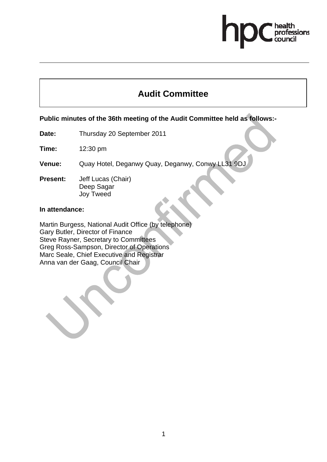# essions

## **Audit Committee**

### **Public minutes of the 36th meeting of the Audit Committee held as follows:-**

**Date:** Thursday 20 September 2011

**Time:** 12:30 pm

**Venue:** Quay Hotel, Deganwy Quay, Deganwy, Conwy LL31 9DJ

**Present:** Jeff Lucas (Chair) Deep Sagar Joy Tweed

#### **In attendance:**

Martin Burgess, National Audit Office (by telephone) Gary Butler, Director of Finance Steve Rayner, Secretary to Committees Greg Ross-Sampson, Director of Operations Marc Seale, Chief Executive and Registrar Anna van der Gaag, Council Chair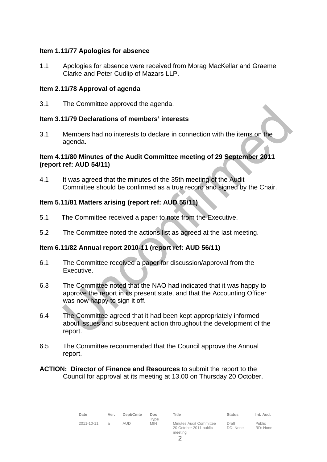#### **Item 1.11/77 Apologies for absence**

1.1 Apologies for absence were received from Morag MacKellar and Graeme Clarke and Peter Cudlip of Mazars LLP.

#### **Item 2.11/78 Approval of agenda**

3.1 The Committee approved the agenda.

#### **Item 3.11/79 Declarations of members' interests**

3.1 Members had no interests to declare in connection with the items on the agenda.

#### **Item 4.11/80 Minutes of the Audit Committee meeting of 29 September 2011 (report ref: AUD 54/11)**

4.1 It was agreed that the minutes of the 35th meeting of the Audit Committee should be confirmed as a true record and signed by the Chair.

#### **Item 5.11/81 Matters arising (report ref: AUD 55/11)**

- 5.1 The Committee received a paper to note from the Executive.
- 5.2 The Committee noted the actions list as agreed at the last meeting.

#### **Item 6.11/82 Annual report 2010-11 (report ref: AUD 56/11)**

- 6.1 The Committee received a paper for discussion/approval from the Executive.
- 6.3 The Committee noted that the NAO had indicated that it was happy to approve the report in its present state, and that the Accounting Officer was now happy to sign it off.
- 6.4 The Committee agreed that it had been kept appropriately informed about issues and subsequent action throughout the development of the report.
- 6.5 The Committee recommended that the Council approve the Annual report.
- **ACTION: Director of Finance and Resources** to submit the report to the Council for approval at its meeting at 13.00 on Thursday 20 October.

| Date       | Ver.     | Dept/Cmte | Doc.<br>Type | Title                                                        | <b>Status</b>     | Int. Aud.                 |
|------------|----------|-----------|--------------|--------------------------------------------------------------|-------------------|---------------------------|
| 2011-10-11 | $\alpha$ | AUD.      | <b>MIN</b>   | Minutes Audit Committee<br>20 October 2011 public<br>meeting | Draft<br>DD: None | <b>Public</b><br>RD: None |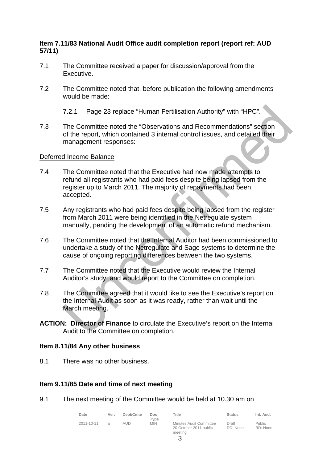#### **Item 7.11/83 National Audit Office audit completion report (report ref: AUD 57/11)**

- 7.1 The Committee received a paper for discussion/approval from the Executive.
- 7.2 The Committee noted that, before publication the following amendments would be made:
	- 7.2.1 Page 23 replace "Human Fertilisation Authority" with "HPC".
- 7.3 The Committee noted the "Observations and Recommendations" section of the report, which contained 3 internal control issues, and detailed their management responses:

#### Deferred Income Balance

- 7.4 The Committee noted that the Executive had now made attempts to refund all registrants who had paid fees despite being lapsed from the register up to March 2011. The majority of repayments had been accepted.
- 7.5 Any registrants who had paid fees despite being lapsed from the register from March 2011 were being identified in the Netregulate system manually, pending the development of an automatic refund mechanism.
- 7.6 The Committee noted that the Internal Auditor had been commissioned to undertake a study of the Netregulate and Sage systems to determine the cause of ongoing reporting differences between the two systems.
- 7.7 The Committee noted that the Executive would review the Internal Auditor's study, and would report to the Committee on completion.
- 7.8 The Committee agreed that it would like to see the Executive's report on the Internal Audit as soon as it was ready, rather than wait until the March meeting.
- **ACTION: Director of Finance** to circulate the Executive's report on the Internal Audit to the Committee on completion.

#### **Item 8.11/84 Any other business**

8.1 There was no other business.

#### **Item 9.11/85 Date and time of next meeting**

9.1 The next meeting of the Committee would be held at 10.30 am on

| Date       | Ver. | Dept/Cmte | Doc.<br>Type | Title                                             | <b>Status</b>     | Int. Aud.          |
|------------|------|-----------|--------------|---------------------------------------------------|-------------------|--------------------|
| 2011-10-11 |      | aud       | <b>MIN</b>   | Minutes Audit Committee<br>20 October 2011 public | Draft<br>DD: None | Public<br>RD: None |